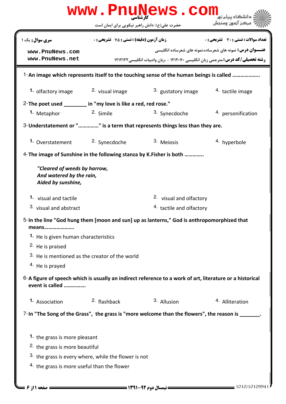|                                             | حضرت علی(ع): دانش راهبر نیکویی برای ایمان است                   |                                                                                                          | مركز آزمون وسنجش                                                 |
|---------------------------------------------|-----------------------------------------------------------------|----------------------------------------------------------------------------------------------------------|------------------------------------------------------------------|
| <b>سری سوال :</b> یک ۱                      | <b>زمان آزمون (دقیقه) : تستی : 75 ٪ تشریحی : 0</b>              |                                                                                                          | تعداد سوالات : تستي : 30 - تشريحي : 0                            |
| www.PnuNews.com                             |                                                                 |                                                                                                          | <b>عنـــوان درس:</b> نمونه های شعرساده،نمونه های شعرساده انگلیسی |
| www.PnuNews.net                             |                                                                 | <b>رشته تحصیلی/کد درس:</b> مترجمی زبان انگلیسی ۱۲۱۲۰۷۰ - ،زبان وادبیات انگلیسی ۱۲۱۲۱۲۲                   |                                                                  |
|                                             |                                                                 | 1-An image which represents itself to the touching sense of the human beings is called                   |                                                                  |
| 1. olfactory image                          | <sup>2</sup> visual image                                       | 3. gustatory image                                                                                       | 4. tactile image                                                 |
|                                             | 2- The poet used _______ in "my love is like a red, red rose."  |                                                                                                          |                                                                  |
| 1. Metaphor                                 | 2. Simile                                                       | 3. Synecdoche                                                                                            | 4. personification                                               |
|                                             |                                                                 | 3- Understatement or "" is a term that represents things less than they are.                             |                                                                  |
|                                             |                                                                 |                                                                                                          |                                                                  |
| 1. Overstatement 2. Synecdoche              |                                                                 | 3. Mejosis                                                                                               | 4. hyperbole                                                     |
|                                             |                                                                 | 4-The image of Sunshine in the following stanza by K. Fisher is both                                     |                                                                  |
| Aided by sunshine,<br>1. visual and tactile |                                                                 | <sup>2.</sup> visual and olfactory                                                                       |                                                                  |
|                                             |                                                                 |                                                                                                          |                                                                  |
| 3. visual and abstract                      |                                                                 | 4. tactile and olfactory                                                                                 |                                                                  |
| means                                       |                                                                 | 5-In the line "God hung them [moon and sun] up as lanterns," God is anthropomorphized that               |                                                                  |
| 1. He is given human characteristics        |                                                                 |                                                                                                          |                                                                  |
| <sup>2.</sup> He is praised                 |                                                                 |                                                                                                          |                                                                  |
|                                             | 3. He is mentioned as the creator of the world                  |                                                                                                          |                                                                  |
| <sup>4.</sup> He is prayed                  |                                                                 |                                                                                                          |                                                                  |
|                                             |                                                                 | 6-A figure of speech which is usually an indirect reference to a work of art, literature or a historical |                                                                  |
| event is called                             |                                                                 |                                                                                                          |                                                                  |
| 1. Association                              | <sup>2.</sup> flashback                                         | 3. Allusion                                                                                              | <sup>4.</sup> Alliteration                                       |
|                                             |                                                                 |                                                                                                          |                                                                  |
|                                             |                                                                 | 7-In "The Song of the Grass", the grass is "more welcome than the flowers", the reason is ______         |                                                                  |
|                                             |                                                                 |                                                                                                          |                                                                  |
| 1. the grass is more pleasant               |                                                                 |                                                                                                          |                                                                  |
| <sup>2</sup> the grass is more beautiful    | <sup>3.</sup> the grass is every where, while the flower is not |                                                                                                          |                                                                  |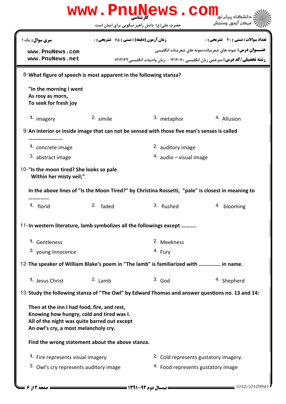| www.PnuNews.com                                                                                                                                                                                                                                                                                                                                 |                                                  |                                                                                                   |                                                                                                                                                           |
|-------------------------------------------------------------------------------------------------------------------------------------------------------------------------------------------------------------------------------------------------------------------------------------------------------------------------------------------------|--------------------------------------------------|---------------------------------------------------------------------------------------------------|-----------------------------------------------------------------------------------------------------------------------------------------------------------|
|                                                                                                                                                                                                                                                                                                                                                 |                                                  | حضرت علی(ع): دانش راهبر نیکویی برای ایمان است                                                     |                                                                                                                                                           |
| <b>سری سوال :</b> یک ۱                                                                                                                                                                                                                                                                                                                          | <b>زمان آزمون (دقیقه) : تستی : 75 تشریحی : 0</b> |                                                                                                   | تعداد سوالات : تستي : 30 ٪ تشريحي : 0                                                                                                                     |
| www.PnuNews.com<br>www.PnuNews.net                                                                                                                                                                                                                                                                                                              |                                                  |                                                                                                   | <b>عنـــوان درس:</b> نمونه های شعرساده،نمونه های شعرساده انگلیسی<br><b>رشته تحصیلی/کد درس: مترجمی زبان انگلیسی ۱۲۱۲۰۷۰ - ،زبان وادبیات انگلیسی/۱۲۱۲۱۲</b> |
| 8-What figure of speech is most apparent in the following stanza?                                                                                                                                                                                                                                                                               |                                                  |                                                                                                   |                                                                                                                                                           |
| "In the morning I went<br>As rosy as morn,<br>To seek for fresh joy                                                                                                                                                                                                                                                                             |                                                  |                                                                                                   |                                                                                                                                                           |
| 1. imagery                                                                                                                                                                                                                                                                                                                                      | 2. simile                                        | 3. metaphor                                                                                       | 4. Allusion                                                                                                                                               |
| 9-An interior or inside image that can not be sensed with those five man's senses is called                                                                                                                                                                                                                                                     |                                                  |                                                                                                   |                                                                                                                                                           |
| 1. concrete image                                                                                                                                                                                                                                                                                                                               |                                                  | 2. auditory image                                                                                 |                                                                                                                                                           |
| 3. abstract image                                                                                                                                                                                                                                                                                                                               |                                                  | $4.$ audio – visual image                                                                         |                                                                                                                                                           |
| 10-"Is the moon tired? She looks so pale<br>Within her misty veil;"                                                                                                                                                                                                                                                                             |                                                  |                                                                                                   |                                                                                                                                                           |
|                                                                                                                                                                                                                                                                                                                                                 |                                                  |                                                                                                   |                                                                                                                                                           |
|                                                                                                                                                                                                                                                                                                                                                 |                                                  | In the above lines of "Is the Moon Tired?" by Christina Rossetti, "pale" is closest in meaning to |                                                                                                                                                           |
| 1. florid                                                                                                                                                                                                                                                                                                                                       | 2. faded                                         | 3. flushed                                                                                        | 4. blooming                                                                                                                                               |
|                                                                                                                                                                                                                                                                                                                                                 |                                                  |                                                                                                   |                                                                                                                                                           |
| 1. Gentleness                                                                                                                                                                                                                                                                                                                                   |                                                  | <sup>2.</sup> Meekness                                                                            |                                                                                                                                                           |
| 3. young Innocence                                                                                                                                                                                                                                                                                                                              |                                                  | 4. Fury                                                                                           |                                                                                                                                                           |
|                                                                                                                                                                                                                                                                                                                                                 |                                                  |                                                                                                   |                                                                                                                                                           |
| 1. Jesus Christ                                                                                                                                                                                                                                                                                                                                 | $2.$ Lamb                                        | $3.$ God                                                                                          | <sup>4.</sup> Shepherd                                                                                                                                    |
|                                                                                                                                                                                                                                                                                                                                                 |                                                  |                                                                                                   | 13-Study the following stanza of "The Owl" by Edward Thomas and answer questions no. 13 and 14:                                                           |
| 11-In western literature, lamb symbolizes all the followings except<br>12- The speaker of William Blake's poem in "The lamb" is familiarized with  in name.<br>Then at the inn I had food, fire, and rest,<br>Knowing how hungry, cold and tired was I.<br>All of the night was quite barred out except<br>An owl's cry, a most melancholy cry. |                                                  |                                                                                                   |                                                                                                                                                           |
| Find the wrong statement about the above stanza.                                                                                                                                                                                                                                                                                                |                                                  |                                                                                                   |                                                                                                                                                           |
| 1. Fire represents visual imagery                                                                                                                                                                                                                                                                                                               |                                                  |                                                                                                   | 2. Cold represents gustatory imagery.                                                                                                                     |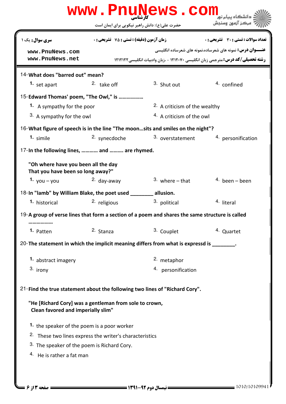| www.PnuNews.com<br>دانشگاه بیام نو <mark>ر</mark>                                               |                                                    |                                         |                                                                                                                                                     |  |
|-------------------------------------------------------------------------------------------------|----------------------------------------------------|-----------------------------------------|-----------------------------------------------------------------------------------------------------------------------------------------------------|--|
|                                                                                                 | حضرت علی(ع): دانش راهبر نیکویی برای ایمان است      |                                         | ' مرڪز آزمون وسنڊش                                                                                                                                  |  |
| سری سوال: یک ۱                                                                                  | <b>زمان آزمون (دقیقه) : تستی : 75 ٪ تشریحی : 0</b> |                                         | <b>تعداد سوالات : تستي : 30 ٪ تشريحي : 0</b>                                                                                                        |  |
| www.PnuNews.com<br>www.PnuNews.net                                                              |                                                    |                                         | <b>عنـــوان درس:</b> نمونه های شعرساده،نمونه های شعرساده انگلیسی<br>رشته تحصیلی/کد درس: مترجمی زبان انگلیسی ۱۲۱۲۰۷۰ - ،زبان وادبیات انگلیسی ۱۲۱۲۱۲۲ |  |
| 14-What does "barred out" mean?                                                                 |                                                    |                                         |                                                                                                                                                     |  |
| 1. set apart                                                                                    | <sup>2.</sup> take off                             | 3. Shut out                             | 4. confined                                                                                                                                         |  |
| 15-Edward Thomas' poem, "The Owl," is                                                           |                                                    |                                         |                                                                                                                                                     |  |
| 1. A sympathy for the poor                                                                      |                                                    | <sup>2</sup> A criticism of the wealthy |                                                                                                                                                     |  |
| 3. A sympathy for the owl                                                                       |                                                    | <sup>4</sup> A criticism of the owl     |                                                                                                                                                     |  |
| 16-What figure of speech is in the line "The moonsits and smiles on the night"?                 |                                                    |                                         |                                                                                                                                                     |  |
| 1. simile                                                                                       | 2. synecdoche                                      | 3. overstatement                        | 4. personification                                                                                                                                  |  |
| 17-In the following lines,  and  are rhymed.                                                    |                                                    |                                         |                                                                                                                                                     |  |
| "Oh where have you been all the day<br>That you have been so long away?"                        |                                                    |                                         |                                                                                                                                                     |  |
| 1. $you - you$                                                                                  | 2. day-away                                        | $3.$ where $-$ that                     | $4.$ been – been                                                                                                                                    |  |
| 18-In "lamb" by William Blake, the poet used                                                    |                                                    | allusion.                               |                                                                                                                                                     |  |
| <sup>1</sup> historical                                                                         | <sup>2.</sup> religious                            | 3. political                            | 4. literal                                                                                                                                          |  |
| 19-A group of verse lines that form a section of a poem and shares the same structure is called |                                                    |                                         |                                                                                                                                                     |  |
| 1. Patten                                                                                       | 2. Stanza                                          | 3. Couplet                              | 4. Quartet                                                                                                                                          |  |
| 20- The statement in which the implicit meaning differs from what is expressd is _______.       |                                                    |                                         |                                                                                                                                                     |  |
| 1. abstract imagery                                                                             |                                                    | 2. metaphor                             |                                                                                                                                                     |  |
| 3. irony                                                                                        |                                                    | 4. personification                      |                                                                                                                                                     |  |
| 21-Find the true statement about the following two lines of "Richard Cory".                     |                                                    |                                         |                                                                                                                                                     |  |
| "He [Richard Cory] was a gentleman from sole to crown,<br>Clean favored and imperially slim"    |                                                    |                                         |                                                                                                                                                     |  |
| 1. the speaker of the poem is a poor worker                                                     |                                                    |                                         |                                                                                                                                                     |  |
| <sup>2.</sup> These two lines express the writer's characteristics                              |                                                    |                                         |                                                                                                                                                     |  |
| 3. The speaker of the poem is Richard Cory.                                                     |                                                    |                                         |                                                                                                                                                     |  |
| 4. He is rather a fat man                                                                       |                                                    |                                         |                                                                                                                                                     |  |
|                                                                                                 |                                                    |                                         |                                                                                                                                                     |  |
|                                                                                                 |                                                    |                                         |                                                                                                                                                     |  |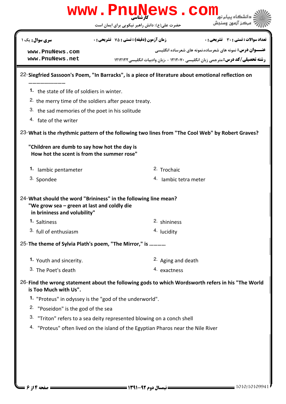|                                                                                                                                                 | www.PnuNews.com                                                                                    |                                                                                 |  |  |
|-------------------------------------------------------------------------------------------------------------------------------------------------|----------------------------------------------------------------------------------------------------|---------------------------------------------------------------------------------|--|--|
|                                                                                                                                                 | حضرت علی(ع): دانش راهبر نیکویی برای ایمان است                                                      | مركز آزمون وسنجش                                                                |  |  |
| <b>سری سوال :</b> یک ۱                                                                                                                          | زمان آزمون (دقیقه) : تستی : 75 ٪ تشریحی : 0                                                        | تعداد سوالات : تستي : 30 - تشريحي : 0                                           |  |  |
| www.PnuNews.com                                                                                                                                 |                                                                                                    | <b>عنـــوان درس:</b> نمونه های شعرساده،نمونه های شعرساده انگلیسی                |  |  |
| www.PnuNews.net                                                                                                                                 |                                                                                                    | رشته تحصیلی/کد درس: مترجمی زبان انگلیسی ۱۲۱۲۰۷۰ - ،زبان وادبیات انگلیسی ۱۲۱۲۱۲۲ |  |  |
|                                                                                                                                                 | 22-Siegfried Sassoon's Poem, "In Barracks", is a piece of literature about emotional reflection on |                                                                                 |  |  |
| 1. the state of life of soldiers in winter.                                                                                                     |                                                                                                    |                                                                                 |  |  |
|                                                                                                                                                 | <sup>2.</sup> the merry time of the soldiers after peace treaty.                                   |                                                                                 |  |  |
| 3. the sad memories of the poet in his solitude                                                                                                 |                                                                                                    |                                                                                 |  |  |
| <sup>4</sup> fate of the writer                                                                                                                 |                                                                                                    |                                                                                 |  |  |
|                                                                                                                                                 | 23- What is the rhythmic pattern of the following two lines from "The Cool Web" by Robert Graves?  |                                                                                 |  |  |
| "Children are dumb to say how hot the day is<br>How hot the scent is from the summer rose"                                                      |                                                                                                    |                                                                                 |  |  |
| 1. Iambic pentameter                                                                                                                            | <sup>2.</sup> Trochaic                                                                             |                                                                                 |  |  |
| 3. Spondee                                                                                                                                      | <sup>4.</sup> Iambic tetra meter                                                                   |                                                                                 |  |  |
| 24- What should the word "Brininess" in the following line mean?<br>"We grow sea – green at last and coldly die<br>in brininess and volubility" |                                                                                                    |                                                                                 |  |  |
| 1. Saltiness                                                                                                                                    | 2. shininess                                                                                       |                                                                                 |  |  |
| 3. full of enthusiasm                                                                                                                           | <sup>4.</sup> lucidity                                                                             |                                                                                 |  |  |
|                                                                                                                                                 | 25-The theme of Sylvia Plath's poem, "The Mirror," is                                              |                                                                                 |  |  |
| 1. Youth and sincerity.                                                                                                                         | <sup>2.</sup> Aging and death                                                                      |                                                                                 |  |  |
| 3. The Poet's death                                                                                                                             | 4. exactness                                                                                       |                                                                                 |  |  |
| is Too Much with Us".                                                                                                                           | 26-Find the wrong statement about the following gods to which Wordsworth refers in his "The World  |                                                                                 |  |  |
|                                                                                                                                                 | 1. "Proteus" in odyssey is the "god of the underworld".                                            |                                                                                 |  |  |
| <sup>2.</sup> "Poseidon" is the god of the sea                                                                                                  |                                                                                                    |                                                                                 |  |  |
|                                                                                                                                                 | 3. "Triton" refers to a sea deity represented blowing on a conch shell                             |                                                                                 |  |  |
|                                                                                                                                                 | 4. "Proteus" often lived on the island of the Egyptian Pharos near the Nile River                  |                                                                                 |  |  |
|                                                                                                                                                 |                                                                                                    |                                                                                 |  |  |
|                                                                                                                                                 |                                                                                                    |                                                                                 |  |  |
|                                                                                                                                                 |                                                                                                    |                                                                                 |  |  |
|                                                                                                                                                 |                                                                                                    |                                                                                 |  |  |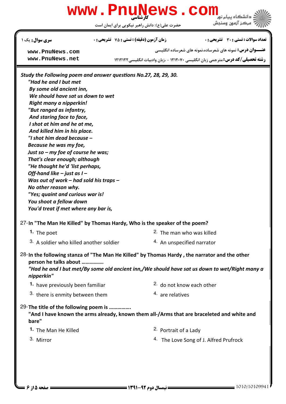| www.PnuNews.com<br>دانشگاه پيام نور<br>مركز آزمون وسنجش<br>حضرت علي(ع): دانش راهبر نيكويي براي ايمان است |                                                    |  |                                                                                        |
|----------------------------------------------------------------------------------------------------------|----------------------------------------------------|--|----------------------------------------------------------------------------------------|
| سری سوال : یک ۱                                                                                          | <b>زمان آزمون (دقیقه) : تستی : 75 ٪ تشریحی : 0</b> |  | <b>تعداد سوالات : تستی : 30 ٪ تشریحی : 0</b>                                           |
| www.PnuNews.com                                                                                          |                                                    |  | <b>عنـــوان درس:</b> نمونه های شعرساده،نمونه های شعرساده انگلیسی                       |
| www.PnuNews.net                                                                                          |                                                    |  | <b>رشته تحصیلی/کد درس:</b> مترجمی زبان انگلیسی ۱۲۱۲۰۷۰ - ،زبان وادبیات انگلیسی ۱۲۱۲۱۲۲ |
| Study the Following poem and answer questions No.27, 28, 29, 30.                                         |                                                    |  |                                                                                        |
| "Had he and I but met                                                                                    |                                                    |  |                                                                                        |
| By some old ancient inn,                                                                                 |                                                    |  |                                                                                        |
| We should have sat us down to wet                                                                        |                                                    |  |                                                                                        |
| Right many a nipperkin!                                                                                  |                                                    |  |                                                                                        |
| "But ranged as infantry,                                                                                 |                                                    |  |                                                                                        |
| And staring face to face,                                                                                |                                                    |  |                                                                                        |
| I shot at him and he at me,                                                                              |                                                    |  |                                                                                        |
|                                                                                                          |                                                    |  |                                                                                        |

27-In "The Man He Killed" by Thomas Hardy, Who is the speaker of the poem?  $2.$  The man who was killed  $3.$  A soldier who killed another soldier  $4.$  An unspecified narrator 1. The poet And killed him in his place. "I shot him dead because – Because he was my foe, Just so – my foe of course he was; That's clear enough; although "He thought he'd 'list perhaps, Off-hand like – just as  $I -$ Was out of work – had sold his traps – No other reason why. "Yes; quaint and curious war is! You shoot a fellow down You'd treat if met where any bar is,  $28$ - In the following stanza of "The Man He Killed" by Thomas Hardy, the narrator and the other person he talks about ……………. "Had he and I but met/By some old ancient inn,/We should have sat us down to wet/Right many a nipperkin" 1. have previously been familiar **1.** 2. do not know each other <sup>3.</sup> there is enmity between them  $\frac{4}{1}$  are relatives 29-The title of the following poem is ............... "And I have known the arms already, known them all-/Arms that are braceleted and white and bare" 2. Portrait of a Lady 4. The Love Song of J. Alfred Prufrock **1.** The Man He Killed 3. Mirror